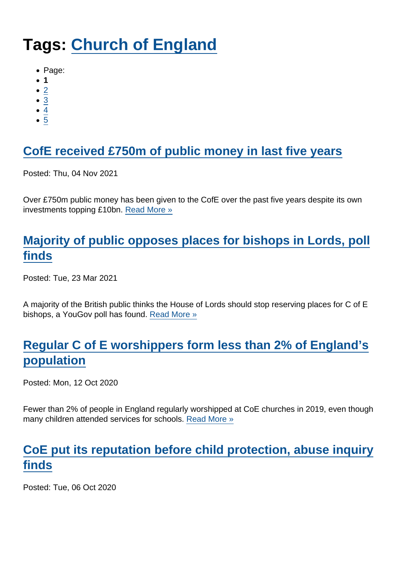# Tags: [Church of England](https://www.secularism.org.uk/news/tags/Church+of+England)

- Page:
- 1
- $\bullet$  [2](/mnt/web-data/www/cp-nss/news/tags/Church+of+England)
- [3](/mnt/web-data/www/cp-nss/news/tags/Church+of+England)
- [4](/mnt/web-data/www/cp-nss/news/tags/Church+of+England)
- $\bullet$  [5](/mnt/web-data/www/cp-nss/news/tags/Church+of+England)

# [CofE received £750m of public money in last five years](https://www.secularism.org.uk/news/2021/11/cofe-received-750m-of-public-money-in-last-five-years)

Posted: Thu, 04 Nov 2021

Over £750m public money has been given to the CofE over the past five years despite its own investments topping £10bn. [Read More »](https://www.secularism.org.uk/news/2021/11/cofe-received-750m-of-public-money-in-last-five-years)

## [Majority of public opposes places for bishops in Lords, poll](https://www.secularism.org.uk/news/2021/03/majority-of-public-opposes-places-for-bishops-in-lords-poll-finds) [finds](https://www.secularism.org.uk/news/2021/03/majority-of-public-opposes-places-for-bishops-in-lords-poll-finds)

Posted: Tue, 23 Mar 2021

A majority of the British public thinks the House of Lords should stop reserving places for C of E bishops, a YouGov poll has found. [Read More »](https://www.secularism.org.uk/news/2021/03/majority-of-public-opposes-places-for-bishops-in-lords-poll-finds)

## [Regular C of E worshippers form less than 2% of England's](https://www.secularism.org.uk/news/2020/10/regular-c-of-e-worshippers-form-less-than-2-percent-of-englands-population) [population](https://www.secularism.org.uk/news/2020/10/regular-c-of-e-worshippers-form-less-than-2-percent-of-englands-population)

Posted: Mon, 12 Oct 2020

Fewer than 2% of people in England regularly worshipped at CoE churches in 2019, even though many children attended services for schools. [Read More »](https://www.secularism.org.uk/news/2020/10/regular-c-of-e-worshippers-form-less-than-2-percent-of-englands-population)

#### [CoE put its reputation before child protection, abuse inquiry](https://www.secularism.org.uk/news/2020/10/coe-put-its-reputation-before-child-protection-abuse-inquiry-finds) [finds](https://www.secularism.org.uk/news/2020/10/coe-put-its-reputation-before-child-protection-abuse-inquiry-finds)

Posted: Tue, 06 Oct 2020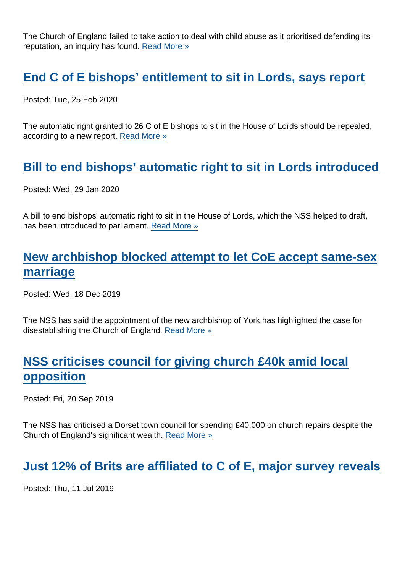The Church of England failed to take action to deal with child abuse as it prioritised defending its reputation, an inquiry has found. [Read More »](https://www.secularism.org.uk/news/2020/10/coe-put-its-reputation-before-child-protection-abuse-inquiry-finds)

[End C of E bishops' entitlement to sit in Lords, says report](https://www.secularism.org.uk/news/2020/02/end-c-of-e-bishops-entitlement-to-sit-in-lords-says-report)

Posted: Tue, 25 Feb 2020

The automatic right granted to 26 C of E bishops to sit in the House of Lords should be repealed, according to a new report. [Read More »](https://www.secularism.org.uk/news/2020/02/end-c-of-e-bishops-entitlement-to-sit-in-lords-says-report)

## [Bill to end bishops' automatic right to sit in Lords introduced](https://www.secularism.org.uk/news/2020/01/bill-to-end-bishops-automatic-right-to-sit-in-lords-introduced)

Posted: Wed, 29 Jan 2020

A bill to end bishops' automatic right to sit in the House of Lords, which the NSS helped to draft, has been introduced to parliament. [Read More »](https://www.secularism.org.uk/news/2020/01/bill-to-end-bishops-automatic-right-to-sit-in-lords-introduced)

## [New archbishop blocked attempt to let CoE accept same-sex](https://www.secularism.org.uk/news/2019/12/new-archbishop-blocked-attempt-to-let-coe-accept-same-sex-marriage) [marriage](https://www.secularism.org.uk/news/2019/12/new-archbishop-blocked-attempt-to-let-coe-accept-same-sex-marriage)

Posted: Wed, 18 Dec 2019

The NSS has said the appointment of the new archbishop of York has highlighted the case for disestablishing the Church of England. [Read More »](https://www.secularism.org.uk/news/2019/12/new-archbishop-blocked-attempt-to-let-coe-accept-same-sex-marriage)

## [NSS criticises council for giving church £40k amid local](https://www.secularism.org.uk/news/2019/09/nss-criticises-council-for-giving-church-40k-amid-local-opposition) [opposition](https://www.secularism.org.uk/news/2019/09/nss-criticises-council-for-giving-church-40k-amid-local-opposition)

Posted: Fri, 20 Sep 2019

The NSS has criticised a Dorset town council for spending £40,000 on church repairs despite the Church of England's significant wealth. [Read More »](https://www.secularism.org.uk/news/2019/09/nss-criticises-council-for-giving-church-40k-amid-local-opposition)

#### [Just 12% of Brits are affiliated to C of E, major survey reveals](https://www.secularism.org.uk/news/2019/07/just-12-percent-of-brits-are-affiliated-to-c-of-e-major-survey-reveals)

Posted: Thu, 11 Jul 2019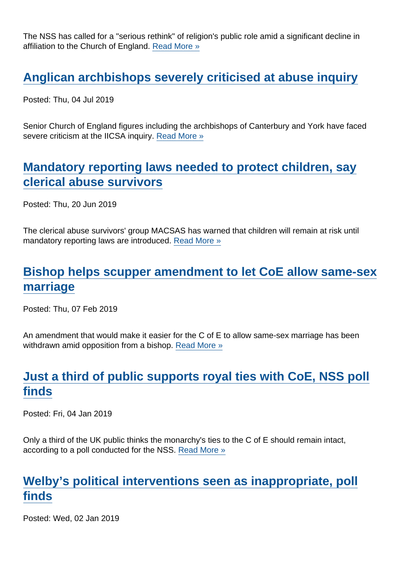The NSS has called for a "serious rethink" of religion's public role amid a significant decline in affiliation to the Church of England. [Read More »](https://www.secularism.org.uk/news/2019/07/just-12-percent-of-brits-are-affiliated-to-c-of-e-major-survey-reveals)

#### [Anglican archbishops severely criticised at abuse inquiry](https://www.secularism.org.uk/news/2019/07/anglican-archbishops-severely-criticised-at-abuse-inquiry)

Posted: Thu, 04 Jul 2019

Senior Church of England figures including the archbishops of Canterbury and York have faced severe criticism at the IICSA inquiry. [Read More »](https://www.secularism.org.uk/news/2019/07/anglican-archbishops-severely-criticised-at-abuse-inquiry)

#### [Mandatory reporting laws needed to protect children, say](https://www.secularism.org.uk/news/2019/06/mandatory-reporting-laws-needed-to-protect-children-say-clerical-abuse-survivors) [clerical abuse survivors](https://www.secularism.org.uk/news/2019/06/mandatory-reporting-laws-needed-to-protect-children-say-clerical-abuse-survivors)

Posted: Thu, 20 Jun 2019

The clerical abuse survivors' group MACSAS has warned that children will remain at risk until mandatory reporting laws are introduced. [Read More »](https://www.secularism.org.uk/news/2019/06/mandatory-reporting-laws-needed-to-protect-children-say-clerical-abuse-survivors)

## [Bishop helps scupper amendment to let CoE allow same-sex](https://www.secularism.org.uk/news/2019/02/bishop-helps-scupper-amendment-to-let-coe-allow-same-sex-marriage) [marriage](https://www.secularism.org.uk/news/2019/02/bishop-helps-scupper-amendment-to-let-coe-allow-same-sex-marriage)

Posted: Thu, 07 Feb 2019

An amendment that would make it easier for the C of E to allow same-sex marriage has been withdrawn amid opposition from a bishop. [Read More »](https://www.secularism.org.uk/news/2019/02/bishop-helps-scupper-amendment-to-let-coe-allow-same-sex-marriage)

# [Just a third of public supports royal ties with CoE, NSS poll](https://www.secularism.org.uk/news/2019/01/just-a-third-of-public-supports-royal-ties-with-coe-nss-poll-finds1) [finds](https://www.secularism.org.uk/news/2019/01/just-a-third-of-public-supports-royal-ties-with-coe-nss-poll-finds1)

Posted: Fri, 04 Jan 2019

Only a third of the UK public thinks the monarchy's ties to the C of E should remain intact, according to a poll conducted for the NSS. [Read More »](https://www.secularism.org.uk/news/2019/01/just-a-third-of-public-supports-royal-ties-with-coe-nss-poll-finds1)

#### [Welby's political interventions seen as inappropriate, poll](https://www.secularism.org.uk/news/2019/01/welbys-political-interventions-seen-as-inappropriate-poll-finds) [finds](https://www.secularism.org.uk/news/2019/01/welbys-political-interventions-seen-as-inappropriate-poll-finds)

Posted: Wed, 02 Jan 2019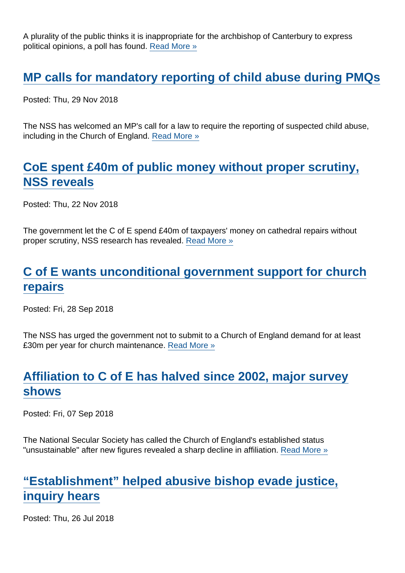A plurality of the public thinks it is inappropriate for the archbishop of Canterbury to express political opinions, a poll has found. [Read More »](https://www.secularism.org.uk/news/2019/01/welbys-political-interventions-seen-as-inappropriate-poll-finds)

#### [MP calls for mandatory reporting of child abuse during PMQs](https://www.secularism.org.uk/news/2018/11/mp-calls-for-mandatory-reporting-of-child-abuse-during-pmqs)

Posted: Thu, 29 Nov 2018

The NSS has welcomed an MP's call for a law to require the reporting of suspected child abuse, including in the Church of England. [Read More »](https://www.secularism.org.uk/news/2018/11/mp-calls-for-mandatory-reporting-of-child-abuse-during-pmqs)

#### [CoE spent £40m of public money without proper scrutiny,](https://www.secularism.org.uk/news/2018/11/coe-spent-gbp40m-of-public-money-without-proper-scrutiny-nss-reveals) [NSS reveals](https://www.secularism.org.uk/news/2018/11/coe-spent-gbp40m-of-public-money-without-proper-scrutiny-nss-reveals)

Posted: Thu, 22 Nov 2018

The government let the C of E spend £40m of taxpayers' money on cathedral repairs without proper scrutiny, NSS research has revealed. [Read More »](https://www.secularism.org.uk/news/2018/11/coe-spent-gbp40m-of-public-money-without-proper-scrutiny-nss-reveals)

#### [C of E wants unconditional government support for church](https://www.secularism.org.uk/news/2018/09/c-of-e-wants-unconditional-government-support-for-church-repairs) [repairs](https://www.secularism.org.uk/news/2018/09/c-of-e-wants-unconditional-government-support-for-church-repairs)

Posted: Fri, 28 Sep 2018

The NSS has urged the government not to submit to a Church of England demand for at least £30m per year for church maintenance. [Read More »](https://www.secularism.org.uk/news/2018/09/c-of-e-wants-unconditional-government-support-for-church-repairs)

## [Affiliation to C of E has halved since 2002, major survey](https://www.secularism.org.uk/news/2018/09/church-of-englands-established-status-unsustainable-following-sharp-decline-in-affiliation) [shows](https://www.secularism.org.uk/news/2018/09/church-of-englands-established-status-unsustainable-following-sharp-decline-in-affiliation)

Posted: Fri, 07 Sep 2018

The National Secular Society has called the Church of England's established status "unsustainable" after new figures revealed a sharp decline in affiliation. [Read More »](https://www.secularism.org.uk/news/2018/09/church-of-englands-established-status-unsustainable-following-sharp-decline-in-affiliation)

## ["Establishment" helped abusive bishop evade justice,](https://www.secularism.org.uk/news/2018/07/establishment-helped-abusive-bishop-evade-justice-inquiry-hears) [inquiry hears](https://www.secularism.org.uk/news/2018/07/establishment-helped-abusive-bishop-evade-justice-inquiry-hears)

Posted: Thu, 26 Jul 2018